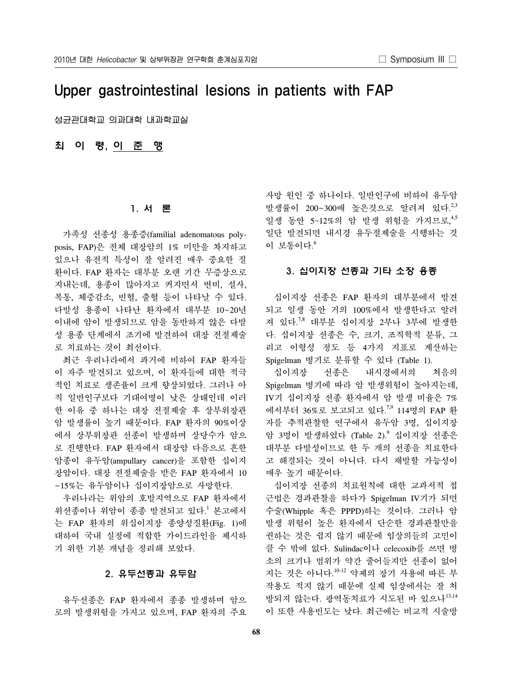# Upper gastrointestinal lesions in patients with FAP

성균관대학교 의과대학 내과학교실

최 이 령, 이 준 행

# 1. 서 론

 가족성 선종성 용종증(familial adenomatous polyposis, FAP)은 전체 대장암의 1% 미만을 차지하고 있으나 유전적 특성이 잘 알려진 매우 중요한 질 환이다. FAP 환자는 대부분 오랜 기간 무증상으로 지내는데, 용종이 많아지고 커지면서 변비, 설사, 복통, 체중감소, 빈혈, 출혈 등이 나타날 수 있다. 다발성 용종이 나타난 환자에서 대부분 10∼20년 이내에 암이 발생되므로 암을 동반하지 않은 다발 성 용종 단계에서 조기에 발견하여 대장 전절제술 로 치료하는 것이 최선이다.

 최근 우리나라에서 과거에 비하여 FAP 환자들 이 자주 발견되고 있으며, 이 환자들에 대한 적극 적인 치료로 생존율이 크게 향상되었다. 그러나 아 직 일반인구보다 기대여명이 낮은 상태인데 이러 한 이유 중 하나는 대장 전절제술 후 상부위장관 암 발생률이 높기 때문이다. FAP 환자의 90%이상 에서 상부위장관 선종이 발생하며 상당수가 암으 로 진행한다. FAP 환자에서 대장암 다음으로 흔한 암종이 유두암(ampullary cancer)을 포함한 십이지 장암이다. 대장 전절제술을 받은 FAP 환자에서 10 ∼15%는 유두암이나 십이지장암으로 사망한다.

 우리나라는 위암의 호발지역으로 FAP 환자에서 위선종이나 위암이 종종 발견되고 있다. <sup>1</sup> 본고에서 는 FAP 환자의 위십이지장 종양성질환(Fig. 1)에 대하여 국내 실정에 적합한 가이드라인을 제시하 기 위한 기본 개념을 정리해 보았다.

# 2. 유두선종과 유두암

 유두선종은 FAP 환자에서 종종 발생하며 암으 로의 발생위험을 가지고 있으며, FAP 환자의 주요 사망 원인 중 하나이다. 일반인구에 비하여 유두암 발생률이 200∼300배 높은것으로 알려져 있다.<sup>2,3</sup> 일생 동안 5~12%의 암 발생 위험을 가지므로, 4,5 일단 발견되면 내시경 유두절제술을 시행하는 것 이 보통이다. 6

## 3. 십이지장 선종과 기타 소장 용종

 십이지장 선종은 FAP 환자의 대부분에서 발견 되고 일생 동안 거의 100%에서 발생한다고 알려 져 있다.<sup>7,8</sup> 대부분 십이지장 2부나 3부에 발생한 다. 십이지장 선종은 수, 크기, 조직학적 분류, 그 리고 이형성 정도 등 4가지 지표로 계산하는 Spigelman 병기로 분류할 수 있다 (Table 1).

 십이지장 선종은 내시경에서의 처음의 Spigelman 병기에 따라 암 발생위험이 높아지는데, IV기 십이지장 선종 환자에서 암 발생 비율은 7% 에서부터 36%로 보고되고 있다.<sup>7,9</sup> 114명의 FAP 환 자를 추적관찰한 연구에서 유두암 3명, 십이지장 암 3명이 발생하였다 (Table 2).<sup>9</sup> 십이지장 선종은 대부분 다발성이므로 한 두 개의 선종을 치료한다 고 해결되는 것이 아니다. 다시 재발할 가능성이 매우 높기 때문이다.

 십이지장 선종의 치료원칙에 대한 교과서적 접 근법은 경과관찰을 하다가 Spigelman IV기가 되면 수술(Whipple 혹은 PPPD)하는 것이다. 그러나 암 발생 위험이 높은 환자에서 단순한 경과관찰만을 권하는 것은 쉽지 않기 때문에 임상의들의 고민이 클 수 밖에 없다. Sulindac이나 celecoxib를 쓰면 병 소의 크기나 범위가 약간 줄어들지만 선종이 없어 지는 것은 아니다.<sup>10-12</sup> 약제의 장기 사용에 따른 부 작용도 적지 않기 때문에 실제 임상에서는 잘 처 방되지 않는다. 광역동치료가 시도된 바 있으나13,14 이 또한 사용빈도는 낮다. 최근에는 비교적 시술방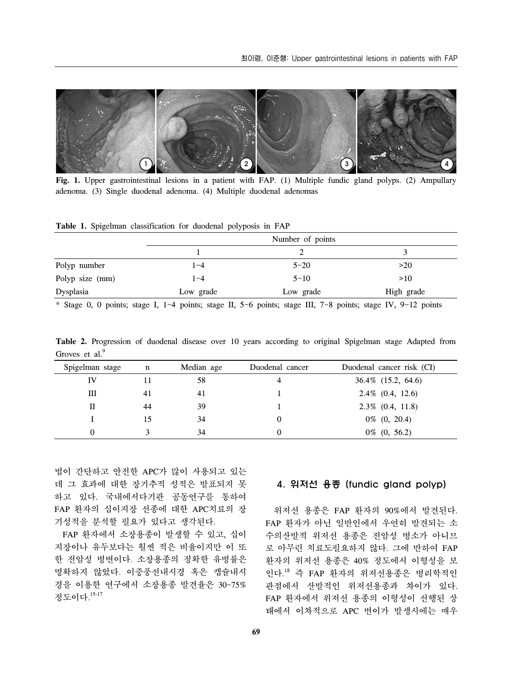

Fig. 1. Upper gastrointestinal lesions in a patient with FAP. (1) Multiple fundic gland polyps. (2) Ampullary adenoma. (3) Single duodenal adenoma. (4) Multiple duodenal adenomas

|  |  |  | Table 1. Spigelman classification for duodenal polyposis in FAP |  |  |  |  |  |
|--|--|--|-----------------------------------------------------------------|--|--|--|--|--|
|--|--|--|-----------------------------------------------------------------|--|--|--|--|--|

|                 | Number of points |           |            |  |  |
|-----------------|------------------|-----------|------------|--|--|
|                 |                  |           |            |  |  |
| Polyp number    | $1 - 4$          | $5 - 20$  | >20        |  |  |
| Polyp size (mm) | $1 - 4$          | $5 - 10$  | >10        |  |  |
| Dysplasia       | Low grade        | Low grade | High grade |  |  |

\* Stage 0, 0 points; stage I, 1~4 points; stage II, 5~6 points; stage III, 7~8 points; stage IV, 9~12 points

**Table 2.** Progression of duodenal disease over 10 years according to original Spigelman stage Adapted from Groves et al.<sup>9</sup>

| Spigelman stage | $\mathbf n$ | Median age | Duodenal cancer | Duodenal cancer risk (CI) |
|-----------------|-------------|------------|-----------------|---------------------------|
| IV              |             | 58         | 4               | 36.4\% (15.2, 64.6)       |
| Ш               | 41          | 41         |                 | $2.4\%$ (0.4, 12.6)       |
| П               | 44          | 39         |                 | $2.3\%$ (0.4, 11.8)       |
|                 |             | 34         |                 | $0\%$ $(0, 20.4)$         |
| $\theta$        |             | 34         |                 | $0\%$ (0, 56.2)           |

법이 간단하고 안전한 APC가 많이 사용되고 있는 데 그 효과에 대한 장기추적 성적은 발표되지 못 하고 있다. 국내에서다기관 공동연구를 통하여 FAP 환자의 십이지장 선종에 대한 APC치료의 장 기성적을 분석할 필요가 있다고 생각된다.

 FAP 환자에서 소장용종이 발생할 수 있고, 십이 지장이나 유두보다는 훨씬 적은 비율이지만 이 또 한 전암성 병변이다. 소장용종의 정확한 유병률은 명확하지 않았다. 이중풍선내시경 혹은 캡슐내시 경을 이용한 연구에서 소장용종 발견율은 30~75% 정도이다. 15-17

# 4. 위저선 용종 (fundic gland polyp)

 위저선 용종은 FAP 환자의 90%에서 발견된다. FAP 환자가 아닌 일반인에서 우연히 발견되는 소 수의산발적 위저선 용종은 전암성 병소가 아니므 로 아무런 치료도필요하지 않다. 그에 반하여 FAP 환자의 위저선 용종은 40% 정도에서 이형성을 보 인다. <sup>18</sup> 즉 FAP 환자의 위저선용종은 병리학적인 관점에서 산발적인 위저선용종과 차이가 있다. FAP 환자에서 위저선 용종의 이형성이 선행된 상 태에서 이차적으로 APC 변이가 발생시에는 매우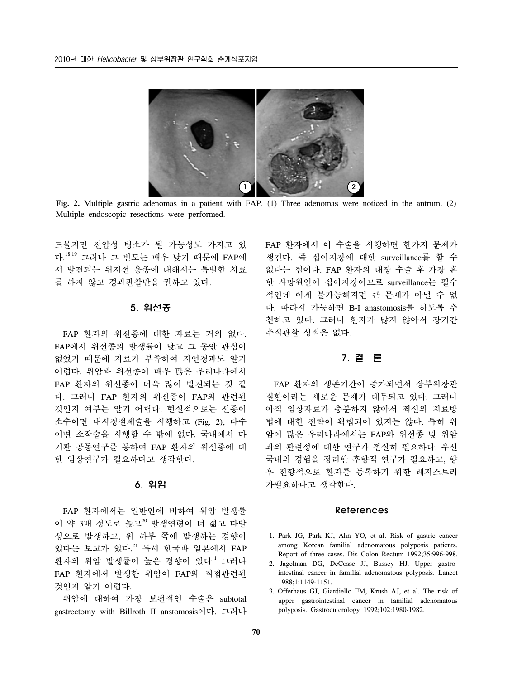

**Fig. 2.** Multiple gastric adenomas in a patient with FAP. (1) Three adenomas were noticed in the antrum. (2) Multiple endoscopic resections were performed.

드물지만 전암성 병소가 될 가능성도 가지고 있 다. 18,19 그러나 그 빈도는 매우 낮기 때문에 FAP에 서 발견되는 위저선 용종에 대해서는 특별한 치료 를 하지 않고 경과관찰만을 권하고 있다.

#### 5. 위선종

 FAP 환자의 위선종에 대한 자료는 거의 없다. FAP에서 위선종의 발생률이 낮고 그 동안 관심이 없었기 때문에 자료가 부족하여 자연경과도 알기 어렵다. 위암과 위선종이 매우 많은 우리나라에서 FAP 환자의 위선종이 더욱 많이 발견되는 것 같 다. 그러나 FAP 환자의 위선종이 FAP와 관련된 것인지 여부는 알기 어렵다. 현실적으로는 선종이 소수이면 내시경절제술을 시행하고 (Fig. 2), 다수 이면 소작술을 시행할 수 밖에 없다. 국내에서 다 기관 공동연구를 통하여 FAP 환자의 위선종에 대 한 임상연구가 필요하다고 생각한다.

## 6. 위암

 FAP 환자에서는 일반인에 비하여 위암 발생률 이 약 3배 정도로 높고<sup>20</sup> 발생연령이 더 젊고 다발 성으로 발생하고, 위 하부 쪽에 발생하는 경향이 있다는 보고가 있다. <sup>21</sup> 특히 한국과 일본에서 FAP 환자의 위암 발생률이 높은 경향이 있다. <sup>1</sup> 그러나 FAP 환자에서 발생한 위암이 FAP와 직접관련된 것인지 알기 어렵다.

 위암에 대하여 가장 보편적인 수술은 subtotal gastrectomy with Billroth II anstomosis이다. 그러나

FAP 환자에서 이 수술을 시행하면 한가지 문제가 생긴다. 즉 십이지장에 대한 surveillance를 할 수 없다는 점이다. FAP 환자의 대장 수술 후 가장 흔 한 사망원인이 십이지장이므로 surveillance는 필수 적인데 이게 불가능해지면 큰 문제가 아닐 수 없 다. 따라서 가능하면 B-I anastomosis를 하도록 추 천하고 있다. 그러나 환자가 많지 않아서 장기간 추적관찰 성적은 없다.

#### 7. 결 론

 FAP 환자의 생존기간이 증가되면서 상부위장관 질환이라는 새로운 문제가 대두되고 있다. 그러나 아직 임상자료가 충분하지 않아서 최선의 치료방 법에 대한 전략이 확립되어 있지는 않다. 특히 위 암이 많은 우리나라에서는 FAP와 위선종 및 위암 과의 관련성에 대한 연구가 절실히 필요하다. 우선 국내의 경험을 정리한 후향적 연구가 필요하고, 향 후 전향적으로 환자를 등록하기 위한 레지스트리 가필요하다고 생각한다.

### References

- 1. Park JG, Park KJ, Ahn YO, et al. Risk of gastric cancer among Korean familial adenomatous polyposis patients. Report of three cases. Dis Colon Rectum 1992;35:996-998.
- 2. Jagelman DG, DeCosse JJ, Bussey HJ. Upper gastrointestinal cancer in familial adenomatous polyposis. Lancet 1988;1:1149-1151.
- 3. Offerhaus GJ, Giardiello FM, Krush AJ, et al. The risk of upper gastrointestinal cancer in familial adenomatous polyposis. Gastroenterology 1992;102:1980-1982.